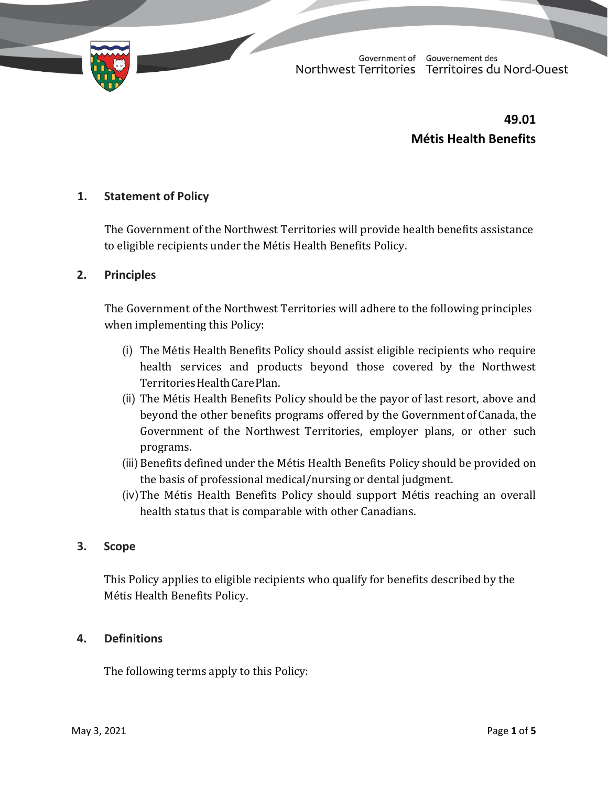

**49.01 Métis Health Benefits**

## **1. Statement of Policy**

The Government of the Northwest Territories will provide health benefits assistance to eligible recipients under the Métis Health Benefits Policy.

#### **2. Principles**

The Government of the Northwest Territories will adhere to the following principles when implementing this Policy:

- (i) The Métis Health Benefits Policy should assist eligible recipients who require health services and products beyond those covered by the Northwest Territories Health Care Plan.
- (ii) The Métis Health Benefits Policy should be the payor of last resort, above and beyond the other benefits programs offered by the Governmentof Canada, the Government of the Northwest Territories, employer plans, or other such programs.
- (iii) Benefits defined under the Métis Health Benefits Policy should be provided on the basis of professional medical/nursing or dental judgment.
- (iv)The Métis Health Benefits Policy should support Métis reaching an overall health status that is comparable with other Canadians.

## **3. Scope**

This Policy applies to eligible recipients who qualify for benefits described by the Métis Health Benefits Policy.

## **4. Definitions**

The following terms apply to this Policy: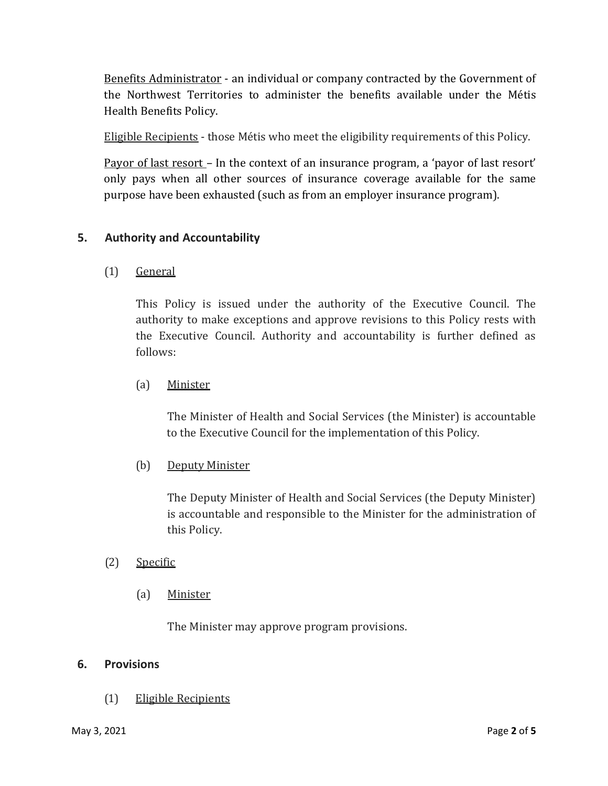Benefits Administrator - an individual or company contracted by the Government of the Northwest Territories to administer the benefits available under the Métis Health Benefits Policy.

Eligible Recipients - those Métis who meet the eligibility requirements of this Policy.

Payor of last resort – In the context of an insurance program, a 'payor of last resort' only pays when all other sources of insurance coverage available for the same purpose have been exhausted (such as from an employer insurance program).

# **5. Authority and Accountability**

(1) General

This Policy is issued under the authority of the Executive Council. The authority to make exceptions and approve revisions to this Policy rests with the Executive Council. Authority and accountability is further defined as follows:

## (a) Minister

The Minister of Health and Social Services (the Minister) is accountable to the Executive Council for the implementation of this Policy.

## (b) Deputy Minister

The Deputy Minister of Health and Social Services (the Deputy Minister) is accountable and responsible to the Minister for the administration of this Policy.

## (2) Specific

(a) Minister

The Minister may approve program provisions.

## **6. Provisions**

(1) Eligible Recipients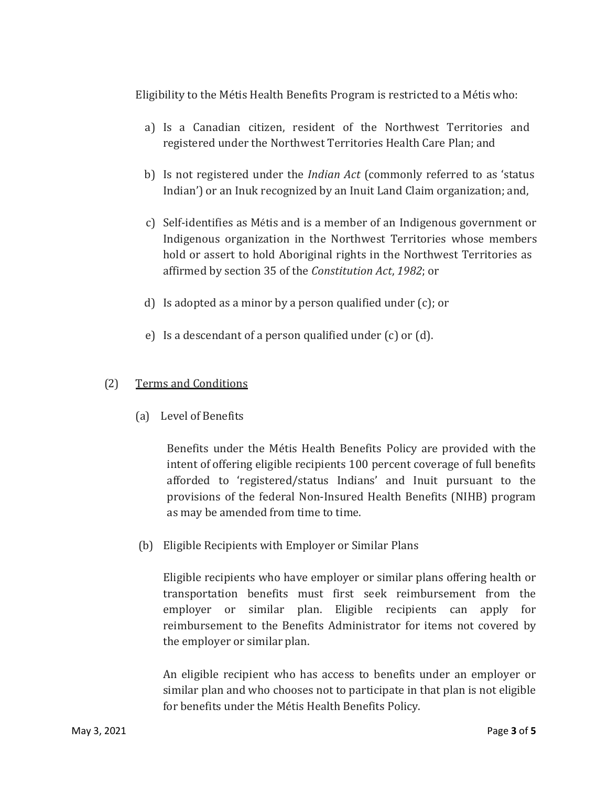Eligibility to the Métis Health Benefits Program is restricted to a Métis who:

- a) Is a Canadian citizen, resident of the Northwest Territories and registered under the Northwest Territories Health Care Plan; and
- b) Is not registered under the *Indian Act* (commonly referred to as 'status Indian') or an Inuk recognized by an Inuit Land Claim organization; and,
- c) Self-identifies as Métis and is a member of an Indigenous government or Indigenous organization in the Northwest Territories whose members hold or assert to hold Aboriginal rights in the Northwest Territories as affirmed by section 35 of the *Constitution Act*, *1982*; or
- d) Is adopted as a minor by a person qualified under (c); or
- e) Is a descendant of a person qualified under (c) or (d).

# (2) Terms and Conditions

(a) Level of Benefits

Benefits under the Métis Health Benefits Policy are provided with the intent of offering eligible recipients 100 percent coverage of full benefits afforded to 'registered/status Indians' and Inuit pursuant to the provisions of the federal Non-Insured Health Benefits (NIHB) program as may be amended from time to time.

(b) Eligible Recipients with Employer or Similar Plans

Eligible recipients who have employer or similar plans offering health or transportation benefits must first seek reimbursement from the employer or similar plan. Eligible recipients can apply for reimbursement to the Benefits Administrator for items not covered by the employer or similar plan.

An eligible recipient who has access to benefits under an employer or similar plan and who chooses not to participate in that plan is not eligible for benefits under the Métis Health Benefits Policy.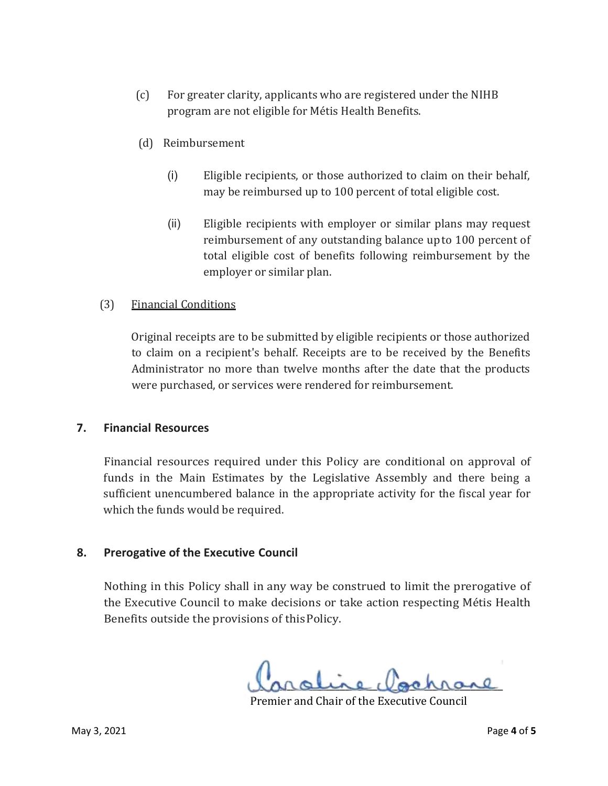- (c) For greater clarity, applicants who are registered under the NIHB program are not eligible for Métis Health Benefits.
- (d) Reimbursement
	- (i) Eligible recipients, or those authorized to claim on their behalf, may be reimbursed up to 100 percent of total eligible cost.
	- (ii) Eligible recipients with employer or similar plans may request reimbursement of any outstanding balance upto 100 percent of total eligible cost of benefits following reimbursement by the employer or similar plan.

#### (3) Financial Conditions

Original receipts are to be submitted by eligible recipients or those authorized to claim on a recipient's behalf. Receipts are to be received by the Benefits Administrator no more than twelve months after the date that the products were purchased, or services were rendered for reimbursement.

#### **7. Financial Resources**

Financial resources required under this Policy are conditional on approval of funds in the Main Estimates by the Legislative Assembly and there being a sufficient unencumbered balance in the appropriate activity for the fiscal year for which the funds would be required.

#### **8. Prerogative of the Executive Council**

Nothing in this Policy shall in any way be construed to limit the prerogative of the Executive Council to make decisions or take action respecting Métis Health Benefits outside the provisions of thisPolicy.

anoure gommane

Premier and Chair of the Executive Council